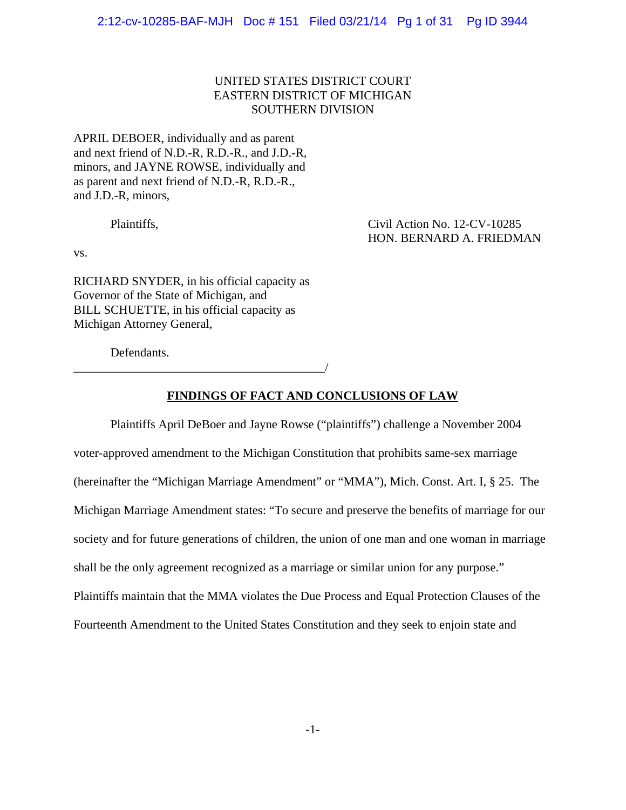# UNITED STATES DISTRICT COURT EASTERN DISTRICT OF MICHIGAN SOUTHERN DIVISION

APRIL DEBOER, individually and as parent and next friend of N.D.-R, R.D.-R., and J.D.-R, minors, and JAYNE ROWSE, individually and as parent and next friend of N.D.-R, R.D.-R., and J.D.-R, minors,

Plaintiffs, Civil Action No. 12-CV-10285 HON. BERNARD A. FRIEDMAN

vs.

RICHARD SNYDER, in his official capacity as Governor of the State of Michigan, and BILL SCHUETTE, in his official capacity as Michigan Attorney General,

\_\_\_\_\_\_\_\_\_\_\_\_\_\_\_\_\_\_\_\_\_\_\_\_\_\_\_\_\_\_\_\_\_\_\_\_\_\_\_\_\_/

Defendants.

## **FINDINGS OF FACT AND CONCLUSIONS OF LAW**

Plaintiffs April DeBoer and Jayne Rowse ("plaintiffs") challenge a November 2004 voter-approved amendment to the Michigan Constitution that prohibits same-sex marriage (hereinafter the "Michigan Marriage Amendment" or "MMA"), Mich. Const. Art. I, § 25. The Michigan Marriage Amendment states: "To secure and preserve the benefits of marriage for our society and for future generations of children, the union of one man and one woman in marriage shall be the only agreement recognized as a marriage or similar union for any purpose." Plaintiffs maintain that the MMA violates the Due Process and Equal Protection Clauses of the Fourteenth Amendment to the United States Constitution and they seek to enjoin state and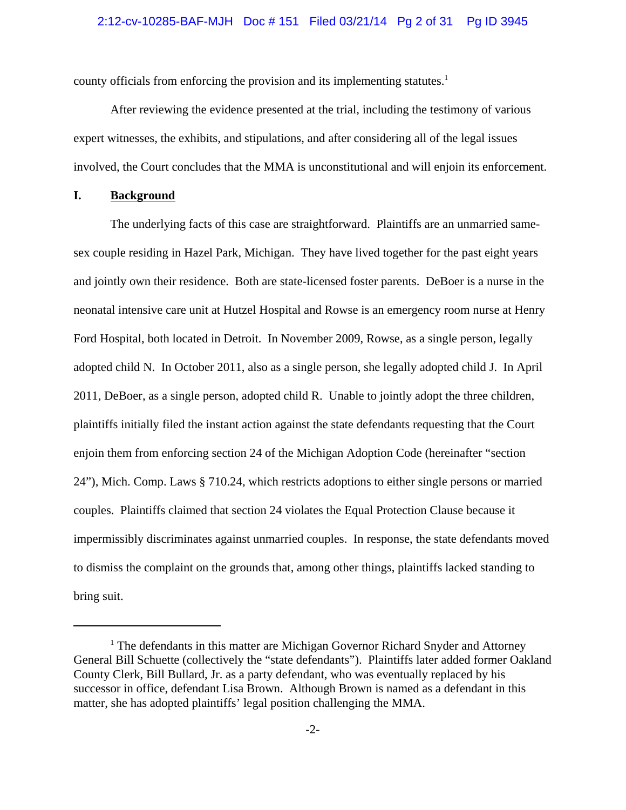#### 2:12-cv-10285-BAF-MJH Doc # 151 Filed 03/21/14 Pg 2 of 31 Pg ID 3945

county officials from enforcing the provision and its implementing statutes.<sup>1</sup>

After reviewing the evidence presented at the trial, including the testimony of various expert witnesses, the exhibits, and stipulations, and after considering all of the legal issues involved, the Court concludes that the MMA is unconstitutional and will enjoin its enforcement.

## **I. Background**

The underlying facts of this case are straightforward. Plaintiffs are an unmarried samesex couple residing in Hazel Park, Michigan. They have lived together for the past eight years and jointly own their residence. Both are state-licensed foster parents. DeBoer is a nurse in the neonatal intensive care unit at Hutzel Hospital and Rowse is an emergency room nurse at Henry Ford Hospital, both located in Detroit. In November 2009, Rowse, as a single person, legally adopted child N. In October 2011, also as a single person, she legally adopted child J. In April 2011, DeBoer, as a single person, adopted child R. Unable to jointly adopt the three children, plaintiffs initially filed the instant action against the state defendants requesting that the Court enjoin them from enforcing section 24 of the Michigan Adoption Code (hereinafter "section 24"), Mich. Comp. Laws § 710.24, which restricts adoptions to either single persons or married couples. Plaintiffs claimed that section 24 violates the Equal Protection Clause because it impermissibly discriminates against unmarried couples. In response, the state defendants moved to dismiss the complaint on the grounds that, among other things, plaintiffs lacked standing to bring suit.

<sup>&</sup>lt;sup>1</sup> The defendants in this matter are Michigan Governor Richard Snyder and Attorney General Bill Schuette (collectively the "state defendants"). Plaintiffs later added former Oakland County Clerk, Bill Bullard, Jr. as a party defendant, who was eventually replaced by his successor in office, defendant Lisa Brown. Although Brown is named as a defendant in this matter, she has adopted plaintiffs' legal position challenging the MMA.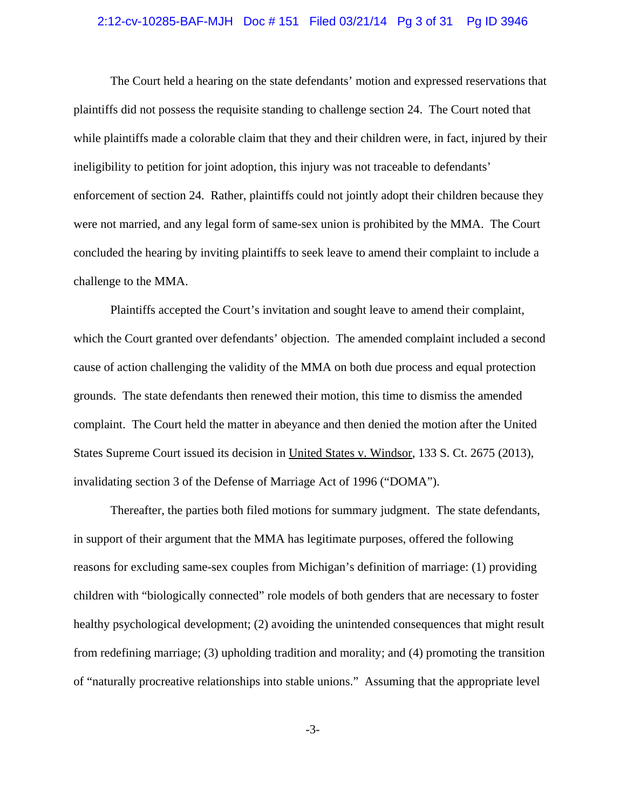#### 2:12-cv-10285-BAF-MJH Doc # 151 Filed 03/21/14 Pg 3 of 31 Pg ID 3946

The Court held a hearing on the state defendants' motion and expressed reservations that plaintiffs did not possess the requisite standing to challenge section 24. The Court noted that while plaintiffs made a colorable claim that they and their children were, in fact, injured by their ineligibility to petition for joint adoption, this injury was not traceable to defendants' enforcement of section 24. Rather, plaintiffs could not jointly adopt their children because they were not married, and any legal form of same-sex union is prohibited by the MMA. The Court concluded the hearing by inviting plaintiffs to seek leave to amend their complaint to include a challenge to the MMA.

Plaintiffs accepted the Court's invitation and sought leave to amend their complaint, which the Court granted over defendants' objection. The amended complaint included a second cause of action challenging the validity of the MMA on both due process and equal protection grounds. The state defendants then renewed their motion, this time to dismiss the amended complaint. The Court held the matter in abeyance and then denied the motion after the United States Supreme Court issued its decision in United States v. Windsor, 133 S. Ct. 2675 (2013), invalidating section 3 of the Defense of Marriage Act of 1996 ("DOMA").

Thereafter, the parties both filed motions for summary judgment. The state defendants, in support of their argument that the MMA has legitimate purposes, offered the following reasons for excluding same-sex couples from Michigan's definition of marriage: (1) providing children with "biologically connected" role models of both genders that are necessary to foster healthy psychological development; (2) avoiding the unintended consequences that might result from redefining marriage; (3) upholding tradition and morality; and (4) promoting the transition of "naturally procreative relationships into stable unions." Assuming that the appropriate level

-3-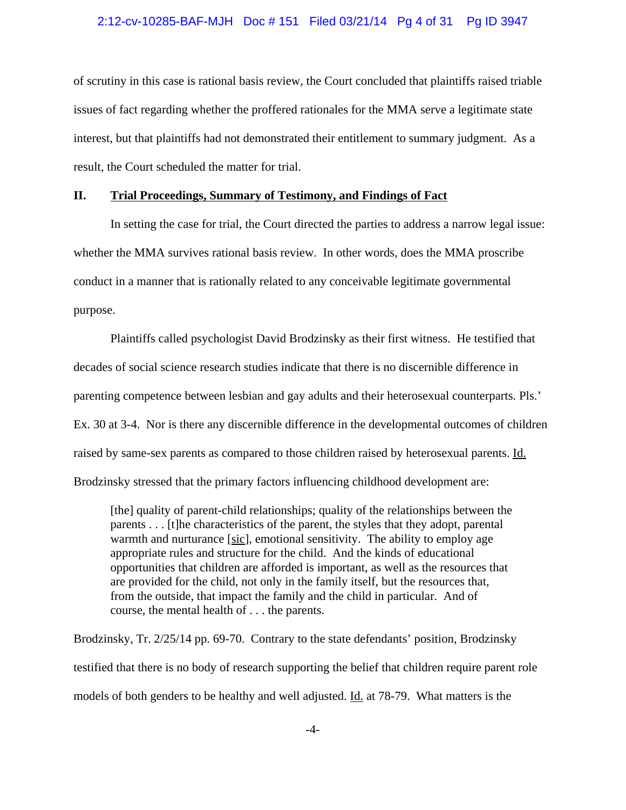#### 2:12-cv-10285-BAF-MJH Doc # 151 Filed 03/21/14 Pg 4 of 31 Pg ID 3947

of scrutiny in this case is rational basis review, the Court concluded that plaintiffs raised triable issues of fact regarding whether the proffered rationales for the MMA serve a legitimate state interest, but that plaintiffs had not demonstrated their entitlement to summary judgment. As a result, the Court scheduled the matter for trial.

### **II. Trial Proceedings, Summary of Testimony, and Findings of Fact**

In setting the case for trial, the Court directed the parties to address a narrow legal issue: whether the MMA survives rational basis review. In other words, does the MMA proscribe conduct in a manner that is rationally related to any conceivable legitimate governmental purpose.

Plaintiffs called psychologist David Brodzinsky as their first witness. He testified that decades of social science research studies indicate that there is no discernible difference in parenting competence between lesbian and gay adults and their heterosexual counterparts. Pls.' Ex. 30 at 3-4. Nor is there any discernible difference in the developmental outcomes of children raised by same-sex parents as compared to those children raised by heterosexual parents. Id. Brodzinsky stressed that the primary factors influencing childhood development are:

[the] quality of parent-child relationships; quality of the relationships between the parents . . . [t]he characteristics of the parent, the styles that they adopt, parental warmth and nurturance [sic], emotional sensitivity. The ability to employ age appropriate rules and structure for the child. And the kinds of educational opportunities that children are afforded is important, as well as the resources that are provided for the child, not only in the family itself, but the resources that, from the outside, that impact the family and the child in particular. And of course, the mental health of . . . the parents.

Brodzinsky, Tr. 2/25/14 pp. 69-70. Contrary to the state defendants' position, Brodzinsky testified that there is no body of research supporting the belief that children require parent role models of both genders to be healthy and well adjusted. Id. at 78-79. What matters is the

-4-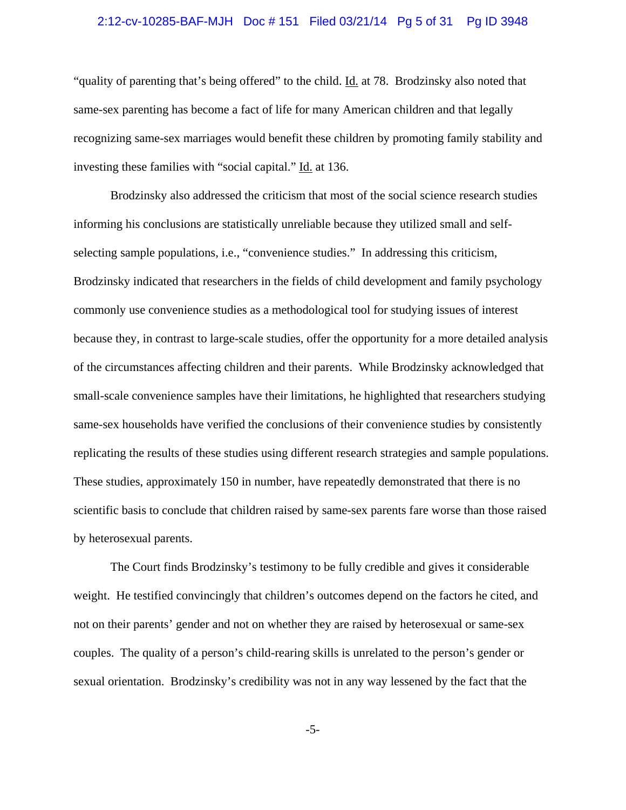## 2:12-cv-10285-BAF-MJH Doc # 151 Filed 03/21/14 Pg 5 of 31 Pg ID 3948

"quality of parenting that's being offered" to the child. Id. at 78. Brodzinsky also noted that same-sex parenting has become a fact of life for many American children and that legally recognizing same-sex marriages would benefit these children by promoting family stability and investing these families with "social capital." Id. at 136.

Brodzinsky also addressed the criticism that most of the social science research studies informing his conclusions are statistically unreliable because they utilized small and selfselecting sample populations, i.e., "convenience studies." In addressing this criticism, Brodzinsky indicated that researchers in the fields of child development and family psychology commonly use convenience studies as a methodological tool for studying issues of interest because they, in contrast to large-scale studies, offer the opportunity for a more detailed analysis of the circumstances affecting children and their parents. While Brodzinsky acknowledged that small-scale convenience samples have their limitations, he highlighted that researchers studying same-sex households have verified the conclusions of their convenience studies by consistently replicating the results of these studies using different research strategies and sample populations. These studies, approximately 150 in number, have repeatedly demonstrated that there is no scientific basis to conclude that children raised by same-sex parents fare worse than those raised by heterosexual parents.

The Court finds Brodzinsky's testimony to be fully credible and gives it considerable weight. He testified convincingly that children's outcomes depend on the factors he cited, and not on their parents' gender and not on whether they are raised by heterosexual or same-sex couples. The quality of a person's child-rearing skills is unrelated to the person's gender or sexual orientation. Brodzinsky's credibility was not in any way lessened by the fact that the

-5-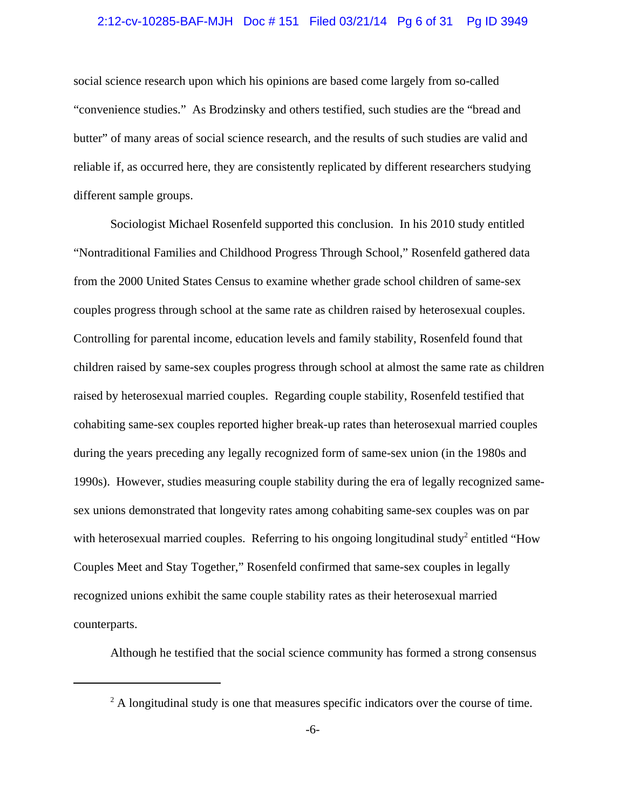## 2:12-cv-10285-BAF-MJH Doc # 151 Filed 03/21/14 Pg 6 of 31 Pg ID 3949

social science research upon which his opinions are based come largely from so-called "convenience studies." As Brodzinsky and others testified, such studies are the "bread and butter" of many areas of social science research, and the results of such studies are valid and reliable if, as occurred here, they are consistently replicated by different researchers studying different sample groups.

Sociologist Michael Rosenfeld supported this conclusion. In his 2010 study entitled "Nontraditional Families and Childhood Progress Through School," Rosenfeld gathered data from the 2000 United States Census to examine whether grade school children of same-sex couples progress through school at the same rate as children raised by heterosexual couples. Controlling for parental income, education levels and family stability, Rosenfeld found that children raised by same-sex couples progress through school at almost the same rate as children raised by heterosexual married couples. Regarding couple stability, Rosenfeld testified that cohabiting same-sex couples reported higher break-up rates than heterosexual married couples during the years preceding any legally recognized form of same-sex union (in the 1980s and 1990s). However, studies measuring couple stability during the era of legally recognized samesex unions demonstrated that longevity rates among cohabiting same-sex couples was on par with heterosexual married couples. Referring to his ongoing longitudinal study<sup>2</sup> entitled "How Couples Meet and Stay Together," Rosenfeld confirmed that same-sex couples in legally recognized unions exhibit the same couple stability rates as their heterosexual married counterparts.

Although he testified that the social science community has formed a strong consensus

 $2^2$  A longitudinal study is one that measures specific indicators over the course of time.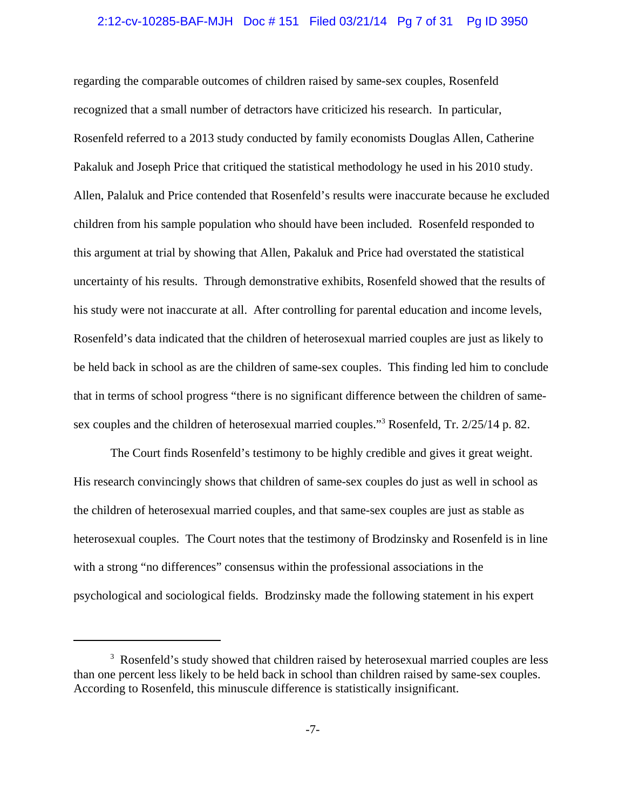### 2:12-cv-10285-BAF-MJH Doc # 151 Filed 03/21/14 Pg 7 of 31 Pg ID 3950

regarding the comparable outcomes of children raised by same-sex couples, Rosenfeld recognized that a small number of detractors have criticized his research. In particular, Rosenfeld referred to a 2013 study conducted by family economists Douglas Allen, Catherine Pakaluk and Joseph Price that critiqued the statistical methodology he used in his 2010 study. Allen, Palaluk and Price contended that Rosenfeld's results were inaccurate because he excluded children from his sample population who should have been included. Rosenfeld responded to this argument at trial by showing that Allen, Pakaluk and Price had overstated the statistical uncertainty of his results. Through demonstrative exhibits, Rosenfeld showed that the results of his study were not inaccurate at all. After controlling for parental education and income levels, Rosenfeld's data indicated that the children of heterosexual married couples are just as likely to be held back in school as are the children of same-sex couples. This finding led him to conclude that in terms of school progress "there is no significant difference between the children of samesex couples and the children of heterosexual married couples."<sup>3</sup> Rosenfeld, Tr. 2/25/14 p. 82.

The Court finds Rosenfeld's testimony to be highly credible and gives it great weight. His research convincingly shows that children of same-sex couples do just as well in school as the children of heterosexual married couples, and that same-sex couples are just as stable as heterosexual couples. The Court notes that the testimony of Brodzinsky and Rosenfeld is in line with a strong "no differences" consensus within the professional associations in the psychological and sociological fields. Brodzinsky made the following statement in his expert

<sup>&</sup>lt;sup>3</sup> Rosenfeld's study showed that children raised by heterosexual married couples are less than one percent less likely to be held back in school than children raised by same-sex couples. According to Rosenfeld, this minuscule difference is statistically insignificant.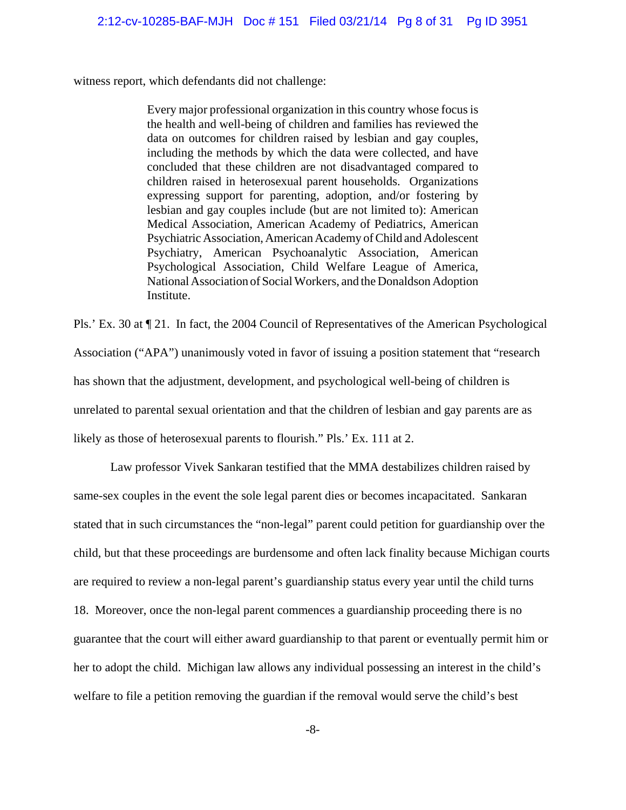witness report, which defendants did not challenge:

Every major professional organization in this country whose focus is the health and well-being of children and families has reviewed the data on outcomes for children raised by lesbian and gay couples, including the methods by which the data were collected, and have concluded that these children are not disadvantaged compared to children raised in heterosexual parent households. Organizations expressing support for parenting, adoption, and/or fostering by lesbian and gay couples include (but are not limited to): American Medical Association, American Academy of Pediatrics, American Psychiatric Association, American Academy of Child and Adolescent Psychiatry, American Psychoanalytic Association, American Psychological Association, Child Welfare League of America, National Association of Social Workers, and the Donaldson Adoption Institute.

Pls.' Ex. 30 at ¶ 21. In fact, the 2004 Council of Representatives of the American Psychological Association ("APA") unanimously voted in favor of issuing a position statement that "research has shown that the adjustment, development, and psychological well-being of children is unrelated to parental sexual orientation and that the children of lesbian and gay parents are as likely as those of heterosexual parents to flourish." Pls.' Ex. 111 at 2.

Law professor Vivek Sankaran testified that the MMA destabilizes children raised by same-sex couples in the event the sole legal parent dies or becomes incapacitated. Sankaran stated that in such circumstances the "non-legal" parent could petition for guardianship over the child, but that these proceedings are burdensome and often lack finality because Michigan courts are required to review a non-legal parent's guardianship status every year until the child turns 18. Moreover, once the non-legal parent commences a guardianship proceeding there is no guarantee that the court will either award guardianship to that parent or eventually permit him or her to adopt the child. Michigan law allows any individual possessing an interest in the child's welfare to file a petition removing the guardian if the removal would serve the child's best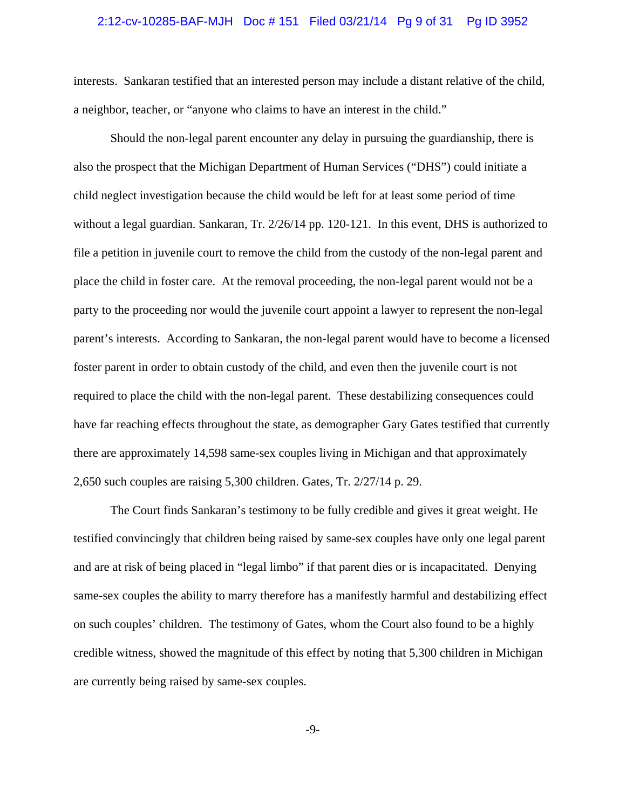#### 2:12-cv-10285-BAF-MJH Doc # 151 Filed 03/21/14 Pg 9 of 31 Pg ID 3952

interests. Sankaran testified that an interested person may include a distant relative of the child, a neighbor, teacher, or "anyone who claims to have an interest in the child."

Should the non-legal parent encounter any delay in pursuing the guardianship, there is also the prospect that the Michigan Department of Human Services ("DHS") could initiate a child neglect investigation because the child would be left for at least some period of time without a legal guardian. Sankaran, Tr. 2/26/14 pp. 120-121. In this event, DHS is authorized to file a petition in juvenile court to remove the child from the custody of the non-legal parent and place the child in foster care. At the removal proceeding, the non-legal parent would not be a party to the proceeding nor would the juvenile court appoint a lawyer to represent the non-legal parent's interests. According to Sankaran, the non-legal parent would have to become a licensed foster parent in order to obtain custody of the child, and even then the juvenile court is not required to place the child with the non-legal parent. These destabilizing consequences could have far reaching effects throughout the state, as demographer Gary Gates testified that currently there are approximately 14,598 same-sex couples living in Michigan and that approximately 2,650 such couples are raising 5,300 children. Gates, Tr. 2/27/14 p. 29.

The Court finds Sankaran's testimony to be fully credible and gives it great weight. He testified convincingly that children being raised by same-sex couples have only one legal parent and are at risk of being placed in "legal limbo" if that parent dies or is incapacitated. Denying same-sex couples the ability to marry therefore has a manifestly harmful and destabilizing effect on such couples' children. The testimony of Gates, whom the Court also found to be a highly credible witness, showed the magnitude of this effect by noting that 5,300 children in Michigan are currently being raised by same-sex couples.

-9-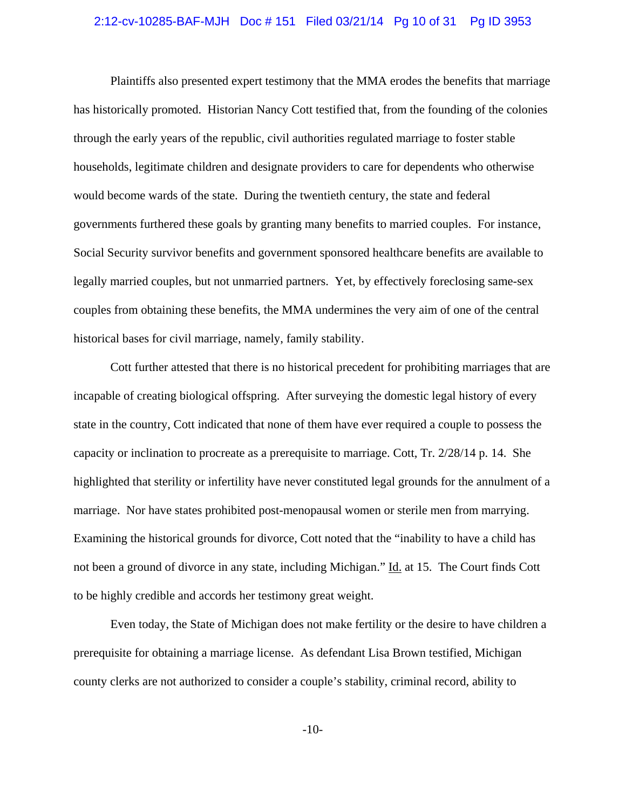## 2:12-cv-10285-BAF-MJH Doc # 151 Filed 03/21/14 Pg 10 of 31 Pg ID 3953

Plaintiffs also presented expert testimony that the MMA erodes the benefits that marriage has historically promoted. Historian Nancy Cott testified that, from the founding of the colonies through the early years of the republic, civil authorities regulated marriage to foster stable households, legitimate children and designate providers to care for dependents who otherwise would become wards of the state. During the twentieth century, the state and federal governments furthered these goals by granting many benefits to married couples. For instance, Social Security survivor benefits and government sponsored healthcare benefits are available to legally married couples, but not unmarried partners. Yet, by effectively foreclosing same-sex couples from obtaining these benefits, the MMA undermines the very aim of one of the central historical bases for civil marriage, namely, family stability.

Cott further attested that there is no historical precedent for prohibiting marriages that are incapable of creating biological offspring. After surveying the domestic legal history of every state in the country, Cott indicated that none of them have ever required a couple to possess the capacity or inclination to procreate as a prerequisite to marriage. Cott, Tr. 2/28/14 p. 14. She highlighted that sterility or infertility have never constituted legal grounds for the annulment of a marriage. Nor have states prohibited post-menopausal women or sterile men from marrying. Examining the historical grounds for divorce, Cott noted that the "inability to have a child has not been a ground of divorce in any state, including Michigan." Id. at 15. The Court finds Cott to be highly credible and accords her testimony great weight.

Even today, the State of Michigan does not make fertility or the desire to have children a prerequisite for obtaining a marriage license. As defendant Lisa Brown testified, Michigan county clerks are not authorized to consider a couple's stability, criminal record, ability to

-10-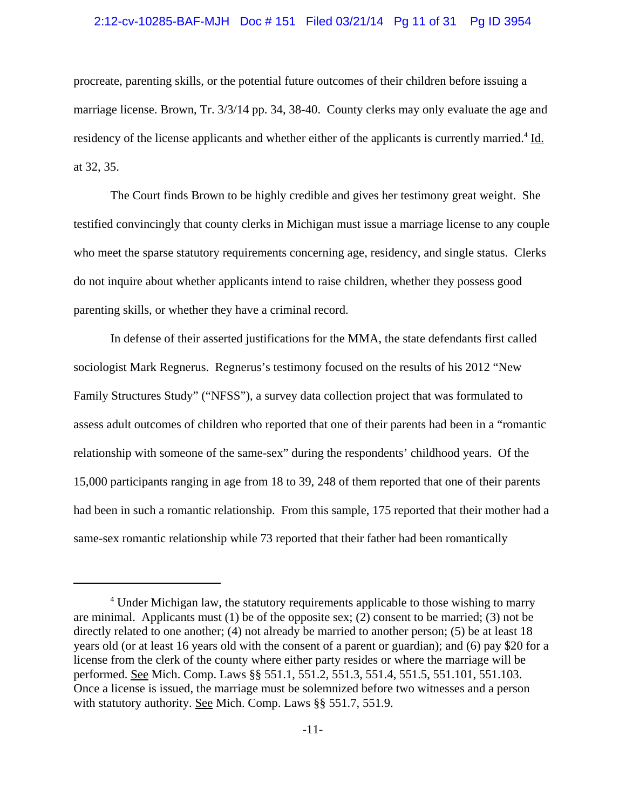#### 2:12-cv-10285-BAF-MJH Doc # 151 Filed 03/21/14 Pg 11 of 31 Pg ID 3954

procreate, parenting skills, or the potential future outcomes of their children before issuing a marriage license. Brown, Tr. 3/3/14 pp. 34, 38-40. County clerks may only evaluate the age and residency of the license applicants and whether either of the applicants is currently married.<sup>4</sup> Id. at 32, 35.

The Court finds Brown to be highly credible and gives her testimony great weight. She testified convincingly that county clerks in Michigan must issue a marriage license to any couple who meet the sparse statutory requirements concerning age, residency, and single status. Clerks do not inquire about whether applicants intend to raise children, whether they possess good parenting skills, or whether they have a criminal record.

In defense of their asserted justifications for the MMA, the state defendants first called sociologist Mark Regnerus. Regnerus's testimony focused on the results of his 2012 "New Family Structures Study" ("NFSS"), a survey data collection project that was formulated to assess adult outcomes of children who reported that one of their parents had been in a "romantic relationship with someone of the same-sex" during the respondents' childhood years. Of the 15,000 participants ranging in age from 18 to 39, 248 of them reported that one of their parents had been in such a romantic relationship. From this sample, 175 reported that their mother had a same-sex romantic relationship while 73 reported that their father had been romantically

<sup>&</sup>lt;sup>4</sup> Under Michigan law, the statutory requirements applicable to those wishing to marry are minimal. Applicants must  $(1)$  be of the opposite sex;  $(2)$  consent to be married;  $(3)$  not be directly related to one another; (4) not already be married to another person; (5) be at least 18 years old (or at least 16 years old with the consent of a parent or guardian); and (6) pay \$20 for a license from the clerk of the county where either party resides or where the marriage will be performed. See Mich. Comp. Laws §§ 551.1, 551.2, 551.3, 551.4, 551.5, 551.101, 551.103. Once a license is issued, the marriage must be solemnized before two witnesses and a person with statutory authority. See Mich. Comp. Laws §§ 551.7, 551.9.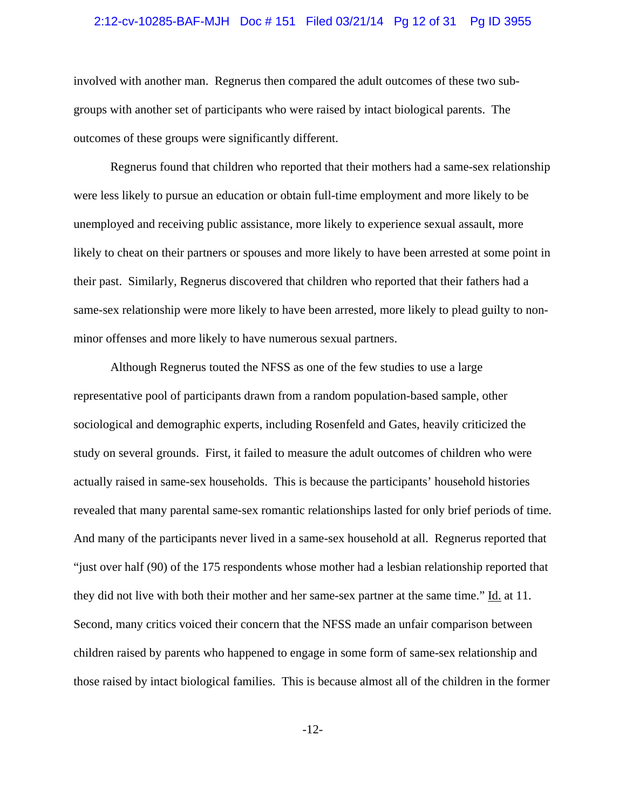## 2:12-cv-10285-BAF-MJH Doc # 151 Filed 03/21/14 Pg 12 of 31 Pg ID 3955

involved with another man. Regnerus then compared the adult outcomes of these two subgroups with another set of participants who were raised by intact biological parents. The outcomes of these groups were significantly different.

Regnerus found that children who reported that their mothers had a same-sex relationship were less likely to pursue an education or obtain full-time employment and more likely to be unemployed and receiving public assistance, more likely to experience sexual assault, more likely to cheat on their partners or spouses and more likely to have been arrested at some point in their past. Similarly, Regnerus discovered that children who reported that their fathers had a same-sex relationship were more likely to have been arrested, more likely to plead guilty to nonminor offenses and more likely to have numerous sexual partners.

Although Regnerus touted the NFSS as one of the few studies to use a large representative pool of participants drawn from a random population-based sample, other sociological and demographic experts, including Rosenfeld and Gates, heavily criticized the study on several grounds. First, it failed to measure the adult outcomes of children who were actually raised in same-sex households. This is because the participants' household histories revealed that many parental same-sex romantic relationships lasted for only brief periods of time. And many of the participants never lived in a same-sex household at all. Regnerus reported that "just over half (90) of the 175 respondents whose mother had a lesbian relationship reported that they did not live with both their mother and her same-sex partner at the same time." Id. at 11. Second, many critics voiced their concern that the NFSS made an unfair comparison between children raised by parents who happened to engage in some form of same-sex relationship and those raised by intact biological families. This is because almost all of the children in the former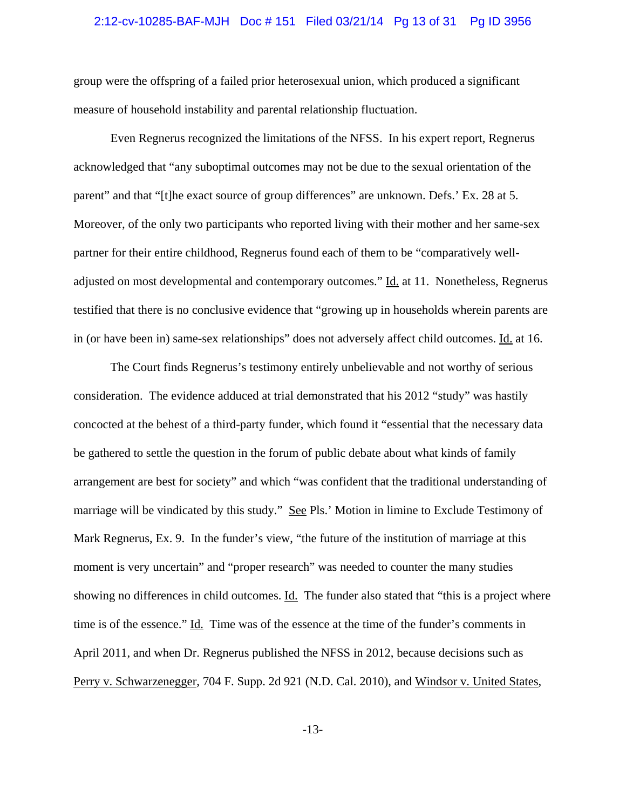# 2:12-cv-10285-BAF-MJH Doc # 151 Filed 03/21/14 Pg 13 of 31 Pg ID 3956

group were the offspring of a failed prior heterosexual union, which produced a significant measure of household instability and parental relationship fluctuation.

Even Regnerus recognized the limitations of the NFSS. In his expert report, Regnerus acknowledged that "any suboptimal outcomes may not be due to the sexual orientation of the parent" and that "[t]he exact source of group differences" are unknown. Defs.' Ex. 28 at 5. Moreover, of the only two participants who reported living with their mother and her same-sex partner for their entire childhood, Regnerus found each of them to be "comparatively welladjusted on most developmental and contemporary outcomes." Id. at 11. Nonetheless, Regnerus testified that there is no conclusive evidence that "growing up in households wherein parents are in (or have been in) same-sex relationships" does not adversely affect child outcomes. Id. at 16.

The Court finds Regnerus's testimony entirely unbelievable and not worthy of serious consideration. The evidence adduced at trial demonstrated that his 2012 "study" was hastily concocted at the behest of a third-party funder, which found it "essential that the necessary data be gathered to settle the question in the forum of public debate about what kinds of family arrangement are best for society" and which "was confident that the traditional understanding of marriage will be vindicated by this study." See Pls.' Motion in limine to Exclude Testimony of Mark Regnerus, Ex. 9. In the funder's view, "the future of the institution of marriage at this moment is very uncertain" and "proper research" was needed to counter the many studies showing no differences in child outcomes. Id. The funder also stated that "this is a project where time is of the essence." Id. Time was of the essence at the time of the funder's comments in April 2011, and when Dr. Regnerus published the NFSS in 2012, because decisions such as Perry v. Schwarzenegger, 704 F. Supp. 2d 921 (N.D. Cal. 2010), and Windsor v. United States,

-13-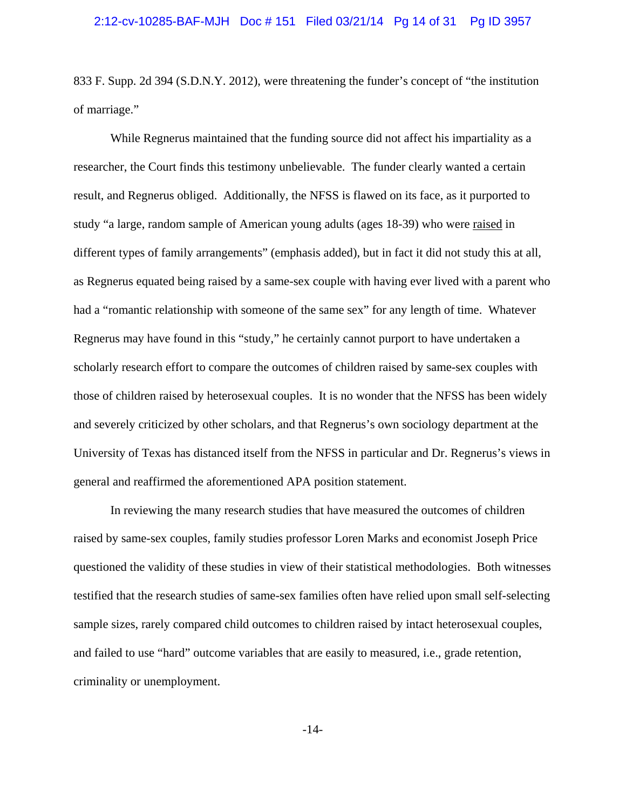833 F. Supp. 2d 394 (S.D.N.Y. 2012), were threatening the funder's concept of "the institution of marriage."

While Regnerus maintained that the funding source did not affect his impartiality as a researcher, the Court finds this testimony unbelievable. The funder clearly wanted a certain result, and Regnerus obliged. Additionally, the NFSS is flawed on its face, as it purported to study "a large, random sample of American young adults (ages 18-39) who were raised in different types of family arrangements" (emphasis added), but in fact it did not study this at all, as Regnerus equated being raised by a same-sex couple with having ever lived with a parent who had a "romantic relationship with someone of the same sex" for any length of time. Whatever Regnerus may have found in this "study," he certainly cannot purport to have undertaken a scholarly research effort to compare the outcomes of children raised by same-sex couples with those of children raised by heterosexual couples. It is no wonder that the NFSS has been widely and severely criticized by other scholars, and that Regnerus's own sociology department at the University of Texas has distanced itself from the NFSS in particular and Dr. Regnerus's views in general and reaffirmed the aforementioned APA position statement.

In reviewing the many research studies that have measured the outcomes of children raised by same-sex couples, family studies professor Loren Marks and economist Joseph Price questioned the validity of these studies in view of their statistical methodologies. Both witnesses testified that the research studies of same-sex families often have relied upon small self-selecting sample sizes, rarely compared child outcomes to children raised by intact heterosexual couples, and failed to use "hard" outcome variables that are easily to measured, i.e., grade retention, criminality or unemployment.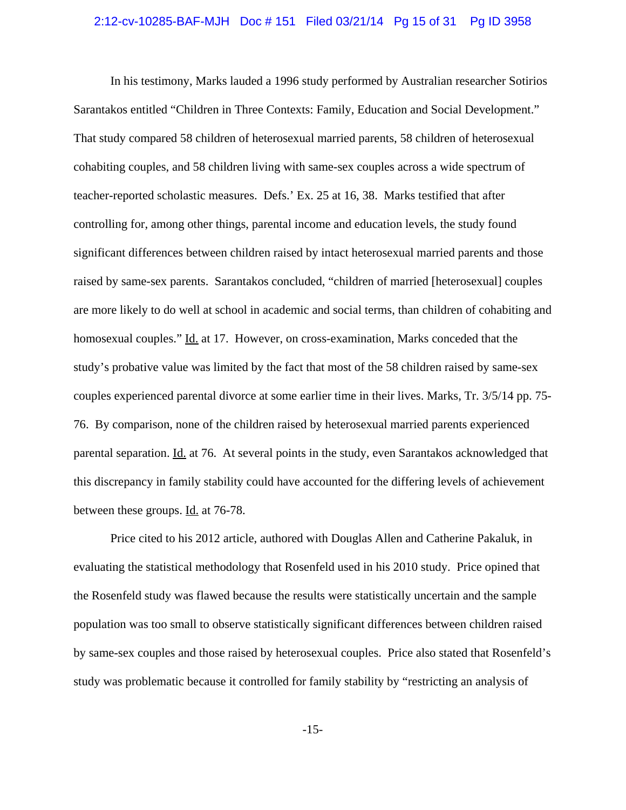## 2:12-cv-10285-BAF-MJH Doc # 151 Filed 03/21/14 Pg 15 of 31 Pg ID 3958

In his testimony, Marks lauded a 1996 study performed by Australian researcher Sotirios Sarantakos entitled "Children in Three Contexts: Family, Education and Social Development." That study compared 58 children of heterosexual married parents, 58 children of heterosexual cohabiting couples, and 58 children living with same-sex couples across a wide spectrum of teacher-reported scholastic measures. Defs.' Ex. 25 at 16, 38. Marks testified that after controlling for, among other things, parental income and education levels, the study found significant differences between children raised by intact heterosexual married parents and those raised by same-sex parents. Sarantakos concluded, "children of married [heterosexual] couples are more likely to do well at school in academic and social terms, than children of cohabiting and homosexual couples." Id. at 17. However, on cross-examination, Marks conceded that the study's probative value was limited by the fact that most of the 58 children raised by same-sex couples experienced parental divorce at some earlier time in their lives. Marks, Tr. 3/5/14 pp. 75- 76. By comparison, none of the children raised by heterosexual married parents experienced parental separation. Id. at 76. At several points in the study, even Sarantakos acknowledged that this discrepancy in family stability could have accounted for the differing levels of achievement between these groups. Id. at 76-78.

Price cited to his 2012 article, authored with Douglas Allen and Catherine Pakaluk, in evaluating the statistical methodology that Rosenfeld used in his 2010 study. Price opined that the Rosenfeld study was flawed because the results were statistically uncertain and the sample population was too small to observe statistically significant differences between children raised by same-sex couples and those raised by heterosexual couples. Price also stated that Rosenfeld's study was problematic because it controlled for family stability by "restricting an analysis of

-15-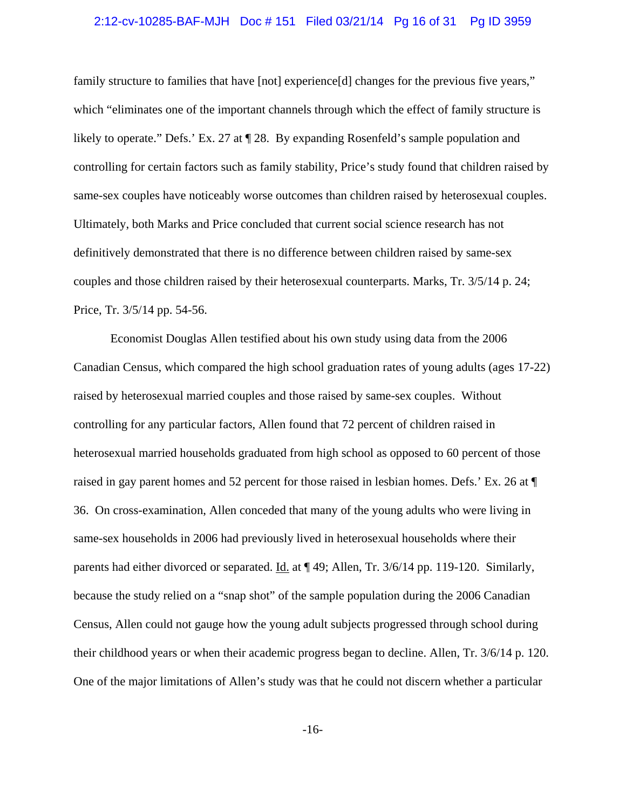## 2:12-cv-10285-BAF-MJH Doc # 151 Filed 03/21/14 Pg 16 of 31 Pg ID 3959

family structure to families that have [not] experience[d] changes for the previous five years," which "eliminates one of the important channels through which the effect of family structure is likely to operate." Defs.' Ex. 27 at ¶ 28. By expanding Rosenfeld's sample population and controlling for certain factors such as family stability, Price's study found that children raised by same-sex couples have noticeably worse outcomes than children raised by heterosexual couples. Ultimately, both Marks and Price concluded that current social science research has not definitively demonstrated that there is no difference between children raised by same-sex couples and those children raised by their heterosexual counterparts. Marks, Tr. 3/5/14 p. 24; Price, Tr. 3/5/14 pp. 54-56.

Economist Douglas Allen testified about his own study using data from the 2006 Canadian Census, which compared the high school graduation rates of young adults (ages 17-22) raised by heterosexual married couples and those raised by same-sex couples. Without controlling for any particular factors, Allen found that 72 percent of children raised in heterosexual married households graduated from high school as opposed to 60 percent of those raised in gay parent homes and 52 percent for those raised in lesbian homes. Defs.' Ex. 26 at ¶ 36. On cross-examination, Allen conceded that many of the young adults who were living in same-sex households in 2006 had previously lived in heterosexual households where their parents had either divorced or separated. Id. at  $\P$  49; Allen, Tr. 3/6/14 pp. 119-120. Similarly, because the study relied on a "snap shot" of the sample population during the 2006 Canadian Census, Allen could not gauge how the young adult subjects progressed through school during their childhood years or when their academic progress began to decline. Allen, Tr. 3/6/14 p. 120. One of the major limitations of Allen's study was that he could not discern whether a particular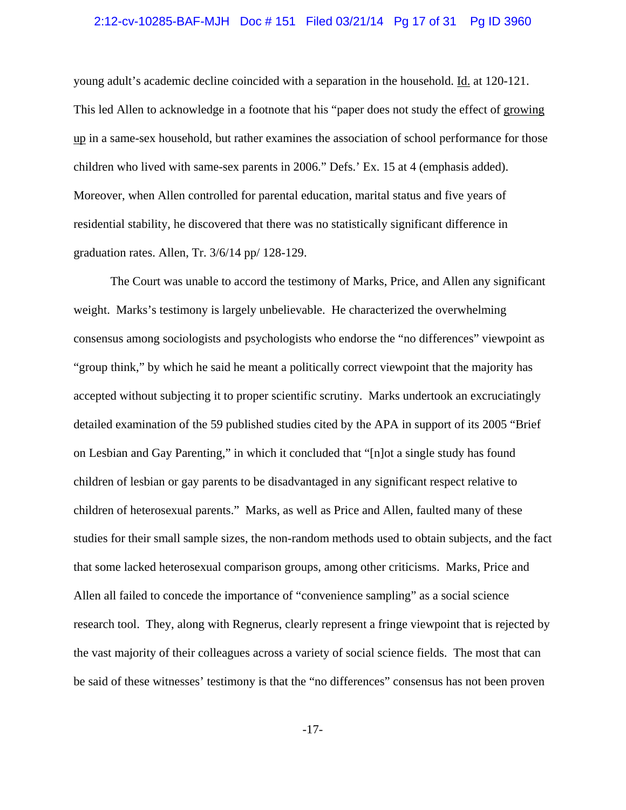## 2:12-cv-10285-BAF-MJH Doc # 151 Filed 03/21/14 Pg 17 of 31 Pg ID 3960

young adult's academic decline coincided with a separation in the household. Id. at 120-121. This led Allen to acknowledge in a footnote that his "paper does not study the effect of growing up in a same-sex household, but rather examines the association of school performance for those children who lived with same-sex parents in 2006." Defs.' Ex. 15 at 4 (emphasis added). Moreover, when Allen controlled for parental education, marital status and five years of residential stability, he discovered that there was no statistically significant difference in graduation rates. Allen, Tr. 3/6/14 pp/ 128-129.

The Court was unable to accord the testimony of Marks, Price, and Allen any significant weight. Marks's testimony is largely unbelievable. He characterized the overwhelming consensus among sociologists and psychologists who endorse the "no differences" viewpoint as "group think," by which he said he meant a politically correct viewpoint that the majority has accepted without subjecting it to proper scientific scrutiny. Marks undertook an excruciatingly detailed examination of the 59 published studies cited by the APA in support of its 2005 "Brief on Lesbian and Gay Parenting," in which it concluded that "[n]ot a single study has found children of lesbian or gay parents to be disadvantaged in any significant respect relative to children of heterosexual parents." Marks, as well as Price and Allen, faulted many of these studies for their small sample sizes, the non-random methods used to obtain subjects, and the fact that some lacked heterosexual comparison groups, among other criticisms. Marks, Price and Allen all failed to concede the importance of "convenience sampling" as a social science research tool. They, along with Regnerus, clearly represent a fringe viewpoint that is rejected by the vast majority of their colleagues across a variety of social science fields. The most that can be said of these witnesses' testimony is that the "no differences" consensus has not been proven

-17-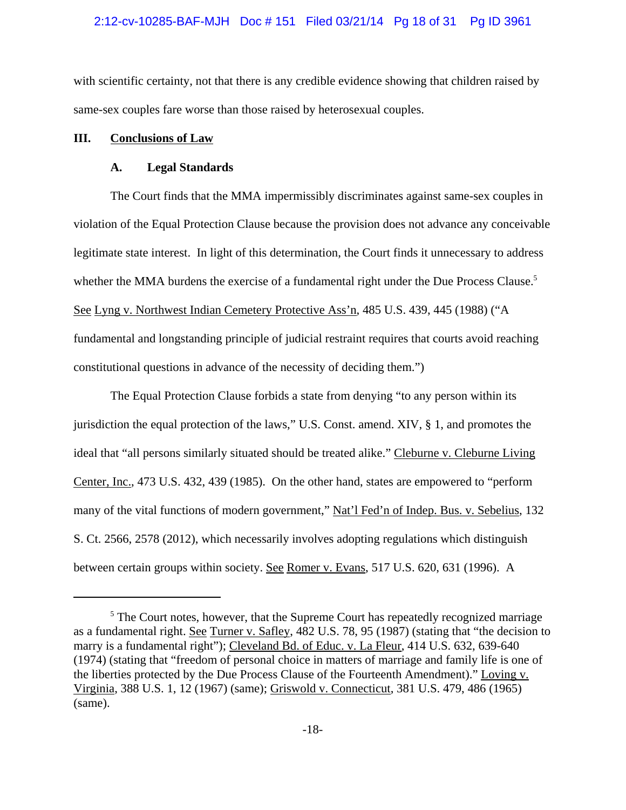#### 2:12-cv-10285-BAF-MJH Doc # 151 Filed 03/21/14 Pg 18 of 31 Pg ID 3961

with scientific certainty, not that there is any credible evidence showing that children raised by same-sex couples fare worse than those raised by heterosexual couples.

### **III. Conclusions of Law**

## **A. Legal Standards**

The Court finds that the MMA impermissibly discriminates against same-sex couples in violation of the Equal Protection Clause because the provision does not advance any conceivable legitimate state interest. In light of this determination, the Court finds it unnecessary to address whether the MMA burdens the exercise of a fundamental right under the Due Process Clause.<sup>5</sup> See Lyng v. Northwest Indian Cemetery Protective Ass'n, 485 U.S. 439, 445 (1988) ("A fundamental and longstanding principle of judicial restraint requires that courts avoid reaching constitutional questions in advance of the necessity of deciding them.")

The Equal Protection Clause forbids a state from denying "to any person within its jurisdiction the equal protection of the laws," U.S. Const. amend. XIV, § 1, and promotes the ideal that "all persons similarly situated should be treated alike." Cleburne v. Cleburne Living Center, Inc., 473 U.S. 432, 439 (1985). On the other hand, states are empowered to "perform many of the vital functions of modern government," Nat'l Fed'n of Indep. Bus. v. Sebelius, 132 S. Ct. 2566, 2578 (2012), which necessarily involves adopting regulations which distinguish between certain groups within society. See Romer v. Evans, 517 U.S. 620, 631 (1996). A

<sup>&</sup>lt;sup>5</sup> The Court notes, however, that the Supreme Court has repeatedly recognized marriage as a fundamental right. See Turner v. Safley, 482 U.S. 78, 95 (1987) (stating that "the decision to marry is a fundamental right"); Cleveland Bd. of Educ. v. La Fleur, 414 U.S. 632, 639-640 (1974) (stating that "freedom of personal choice in matters of marriage and family life is one of the liberties protected by the Due Process Clause of the Fourteenth Amendment)." Loving v. Virginia, 388 U.S. 1, 12 (1967) (same); Griswold v. Connecticut, 381 U.S. 479, 486 (1965) (same).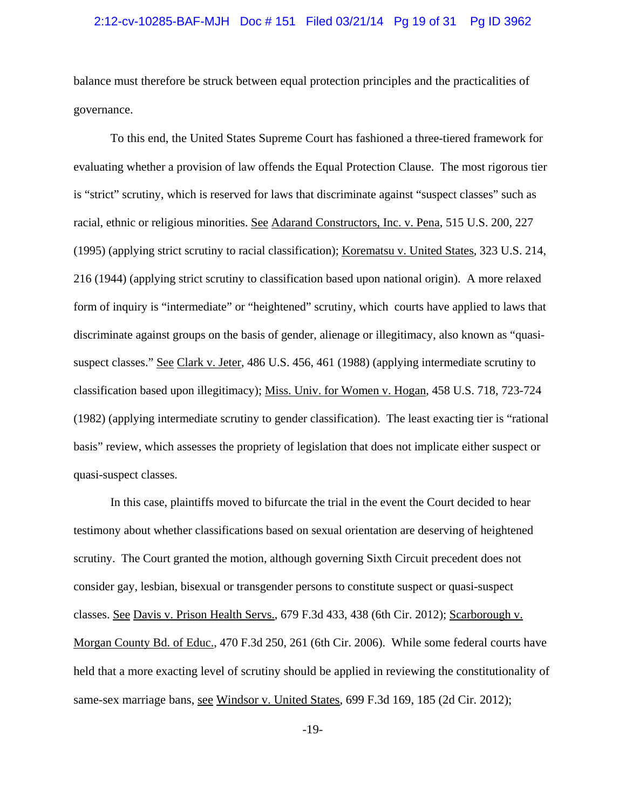## 2:12-cv-10285-BAF-MJH Doc # 151 Filed 03/21/14 Pg 19 of 31 Pg ID 3962

balance must therefore be struck between equal protection principles and the practicalities of governance.

To this end, the United States Supreme Court has fashioned a three-tiered framework for evaluating whether a provision of law offends the Equal Protection Clause. The most rigorous tier is "strict" scrutiny, which is reserved for laws that discriminate against "suspect classes" such as racial, ethnic or religious minorities. See Adarand Constructors, Inc. v. Pena, 515 U.S. 200, 227 (1995) (applying strict scrutiny to racial classification); Korematsu v. United States, 323 U.S. 214, 216 (1944) (applying strict scrutiny to classification based upon national origin). A more relaxed form of inquiry is "intermediate" or "heightened" scrutiny, which courts have applied to laws that discriminate against groups on the basis of gender, alienage or illegitimacy, also known as "quasisuspect classes." See Clark v. Jeter, 486 U.S. 456, 461 (1988) (applying intermediate scrutiny to classification based upon illegitimacy); Miss. Univ. for Women v. Hogan, 458 U.S. 718, 723-724 (1982) (applying intermediate scrutiny to gender classification). The least exacting tier is "rational basis" review, which assesses the propriety of legislation that does not implicate either suspect or quasi-suspect classes.

In this case, plaintiffs moved to bifurcate the trial in the event the Court decided to hear testimony about whether classifications based on sexual orientation are deserving of heightened scrutiny. The Court granted the motion, although governing Sixth Circuit precedent does not consider gay, lesbian, bisexual or transgender persons to constitute suspect or quasi-suspect classes. See Davis v. Prison Health Servs., 679 F.3d 433, 438 (6th Cir. 2012); Scarborough v. Morgan County Bd. of Educ., 470 F.3d 250, 261 (6th Cir. 2006). While some federal courts have held that a more exacting level of scrutiny should be applied in reviewing the constitutionality of same-sex marriage bans, see Windsor v. United States, 699 F.3d 169, 185 (2d Cir. 2012);

-19-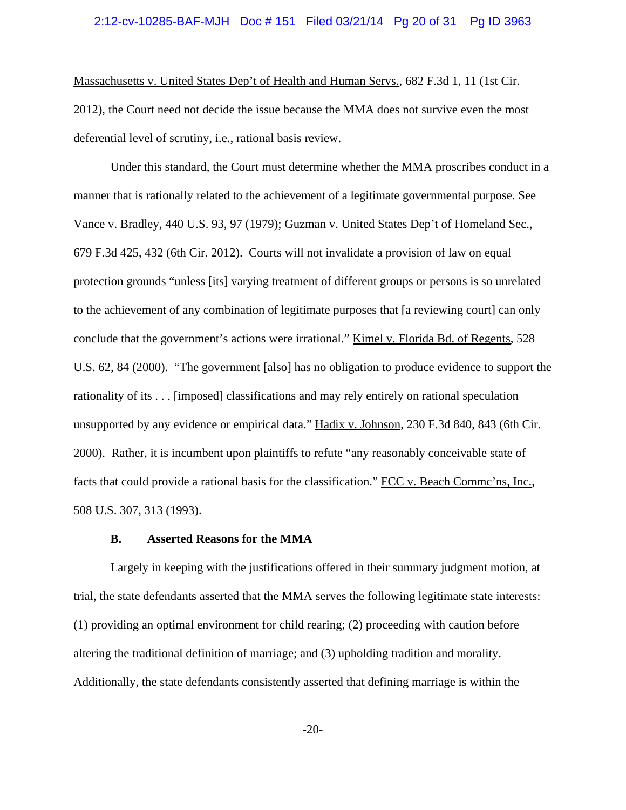#### 2:12-cv-10285-BAF-MJH Doc # 151 Filed 03/21/14 Pg 20 of 31 Pg ID 3963

Massachusetts v. United States Dep't of Health and Human Servs., 682 F.3d 1, 11 (1st Cir. 2012), the Court need not decide the issue because the MMA does not survive even the most deferential level of scrutiny, i.e., rational basis review.

Under this standard, the Court must determine whether the MMA proscribes conduct in a manner that is rationally related to the achievement of a legitimate governmental purpose. See Vance v. Bradley, 440 U.S. 93, 97 (1979); Guzman v. United States Dep't of Homeland Sec., 679 F.3d 425, 432 (6th Cir. 2012). Courts will not invalidate a provision of law on equal protection grounds "unless [its] varying treatment of different groups or persons is so unrelated to the achievement of any combination of legitimate purposes that [a reviewing court] can only conclude that the government's actions were irrational." Kimel v. Florida Bd. of Regents, 528 U.S. 62, 84 (2000). "The government [also] has no obligation to produce evidence to support the rationality of its . . . [imposed] classifications and may rely entirely on rational speculation unsupported by any evidence or empirical data." Hadix v. Johnson, 230 F.3d 840, 843 (6th Cir. 2000). Rather, it is incumbent upon plaintiffs to refute "any reasonably conceivable state of facts that could provide a rational basis for the classification." FCC v. Beach Comme'ns, Inc., 508 U.S. 307, 313 (1993).

#### **B. Asserted Reasons for the MMA**

Largely in keeping with the justifications offered in their summary judgment motion, at trial, the state defendants asserted that the MMA serves the following legitimate state interests: (1) providing an optimal environment for child rearing; (2) proceeding with caution before altering the traditional definition of marriage; and (3) upholding tradition and morality. Additionally, the state defendants consistently asserted that defining marriage is within the

-20-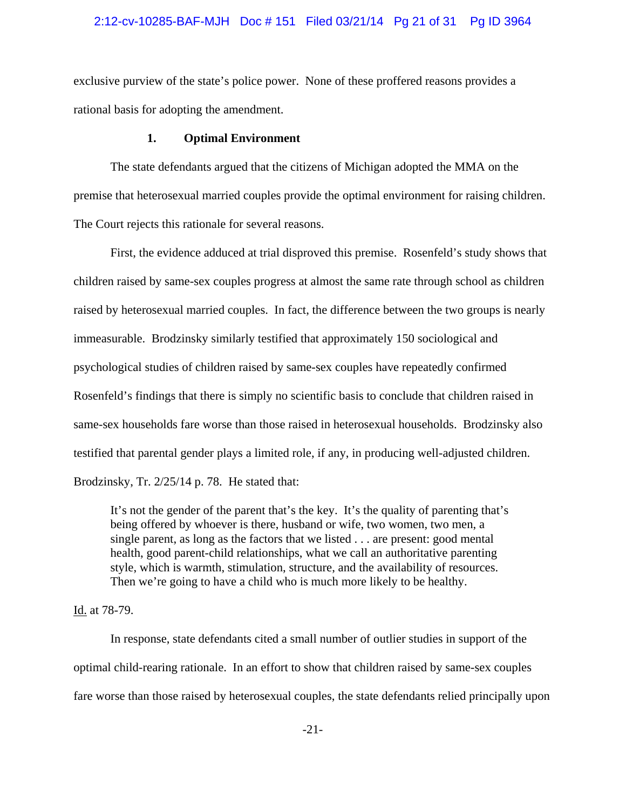# 2:12-cv-10285-BAF-MJH Doc # 151 Filed 03/21/14 Pg 21 of 31 Pg ID 3964

exclusive purview of the state's police power. None of these proffered reasons provides a rational basis for adopting the amendment.

### **1. Optimal Environment**

The state defendants argued that the citizens of Michigan adopted the MMA on the premise that heterosexual married couples provide the optimal environment for raising children. The Court rejects this rationale for several reasons.

First, the evidence adduced at trial disproved this premise. Rosenfeld's study shows that children raised by same-sex couples progress at almost the same rate through school as children raised by heterosexual married couples. In fact, the difference between the two groups is nearly immeasurable. Brodzinsky similarly testified that approximately 150 sociological and psychological studies of children raised by same-sex couples have repeatedly confirmed Rosenfeld's findings that there is simply no scientific basis to conclude that children raised in same-sex households fare worse than those raised in heterosexual households. Brodzinsky also testified that parental gender plays a limited role, if any, in producing well-adjusted children. Brodzinsky, Tr. 2/25/14 p. 78. He stated that:

It's not the gender of the parent that's the key. It's the quality of parenting that's being offered by whoever is there, husband or wife, two women, two men, a single parent, as long as the factors that we listed . . . are present: good mental health, good parent-child relationships, what we call an authoritative parenting style, which is warmth, stimulation, structure, and the availability of resources. Then we're going to have a child who is much more likely to be healthy.

## Id. at 78-79.

 In response, state defendants cited a small number of outlier studies in support of the optimal child-rearing rationale. In an effort to show that children raised by same-sex couples fare worse than those raised by heterosexual couples, the state defendants relied principally upon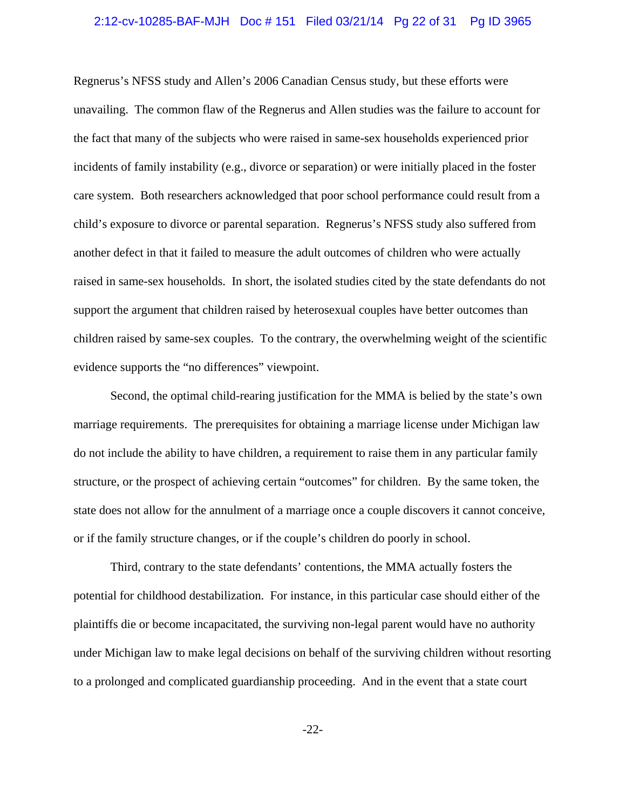## 2:12-cv-10285-BAF-MJH Doc # 151 Filed 03/21/14 Pg 22 of 31 Pg ID 3965

Regnerus's NFSS study and Allen's 2006 Canadian Census study, but these efforts were unavailing. The common flaw of the Regnerus and Allen studies was the failure to account for the fact that many of the subjects who were raised in same-sex households experienced prior incidents of family instability (e.g., divorce or separation) or were initially placed in the foster care system. Both researchers acknowledged that poor school performance could result from a child's exposure to divorce or parental separation. Regnerus's NFSS study also suffered from another defect in that it failed to measure the adult outcomes of children who were actually raised in same-sex households. In short, the isolated studies cited by the state defendants do not support the argument that children raised by heterosexual couples have better outcomes than children raised by same-sex couples. To the contrary, the overwhelming weight of the scientific evidence supports the "no differences" viewpoint.

Second, the optimal child-rearing justification for the MMA is belied by the state's own marriage requirements. The prerequisites for obtaining a marriage license under Michigan law do not include the ability to have children, a requirement to raise them in any particular family structure, or the prospect of achieving certain "outcomes" for children. By the same token, the state does not allow for the annulment of a marriage once a couple discovers it cannot conceive, or if the family structure changes, or if the couple's children do poorly in school.

Third, contrary to the state defendants' contentions, the MMA actually fosters the potential for childhood destabilization. For instance, in this particular case should either of the plaintiffs die or become incapacitated, the surviving non-legal parent would have no authority under Michigan law to make legal decisions on behalf of the surviving children without resorting to a prolonged and complicated guardianship proceeding. And in the event that a state court

-22-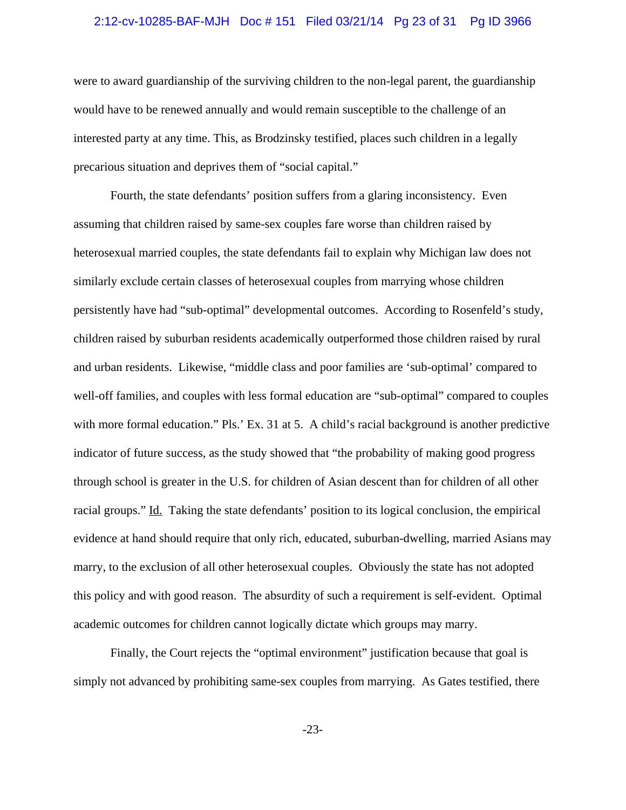#### 2:12-cv-10285-BAF-MJH Doc # 151 Filed 03/21/14 Pg 23 of 31 Pg ID 3966

were to award guardianship of the surviving children to the non-legal parent, the guardianship would have to be renewed annually and would remain susceptible to the challenge of an interested party at any time. This, as Brodzinsky testified, places such children in a legally precarious situation and deprives them of "social capital."

Fourth, the state defendants' position suffers from a glaring inconsistency. Even assuming that children raised by same-sex couples fare worse than children raised by heterosexual married couples, the state defendants fail to explain why Michigan law does not similarly exclude certain classes of heterosexual couples from marrying whose children persistently have had "sub-optimal" developmental outcomes. According to Rosenfeld's study, children raised by suburban residents academically outperformed those children raised by rural and urban residents. Likewise, "middle class and poor families are 'sub-optimal' compared to well-off families, and couples with less formal education are "sub-optimal" compared to couples with more formal education." Pls.' Ex. 31 at 5. A child's racial background is another predictive indicator of future success, as the study showed that "the probability of making good progress through school is greater in the U.S. for children of Asian descent than for children of all other racial groups." Id. Taking the state defendants' position to its logical conclusion, the empirical evidence at hand should require that only rich, educated, suburban-dwelling, married Asians may marry, to the exclusion of all other heterosexual couples. Obviously the state has not adopted this policy and with good reason. The absurdity of such a requirement is self-evident. Optimal academic outcomes for children cannot logically dictate which groups may marry.

Finally, the Court rejects the "optimal environment" justification because that goal is simply not advanced by prohibiting same-sex couples from marrying. As Gates testified, there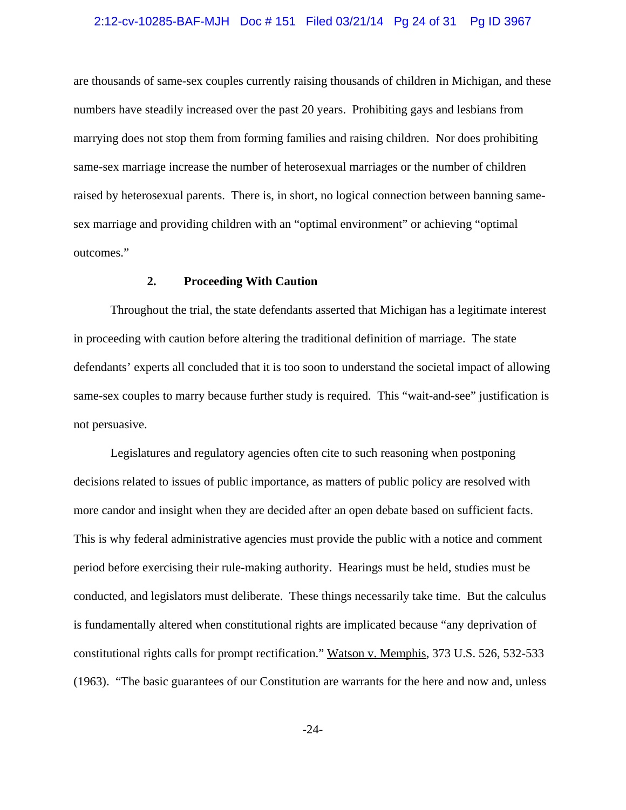## 2:12-cv-10285-BAF-MJH Doc # 151 Filed 03/21/14 Pg 24 of 31 Pg ID 3967

are thousands of same-sex couples currently raising thousands of children in Michigan, and these numbers have steadily increased over the past 20 years. Prohibiting gays and lesbians from marrying does not stop them from forming families and raising children. Nor does prohibiting same-sex marriage increase the number of heterosexual marriages or the number of children raised by heterosexual parents. There is, in short, no logical connection between banning samesex marriage and providing children with an "optimal environment" or achieving "optimal outcomes."

# **2. Proceeding With Caution**

Throughout the trial, the state defendants asserted that Michigan has a legitimate interest in proceeding with caution before altering the traditional definition of marriage. The state defendants' experts all concluded that it is too soon to understand the societal impact of allowing same-sex couples to marry because further study is required. This "wait-and-see" justification is not persuasive.

Legislatures and regulatory agencies often cite to such reasoning when postponing decisions related to issues of public importance, as matters of public policy are resolved with more candor and insight when they are decided after an open debate based on sufficient facts. This is why federal administrative agencies must provide the public with a notice and comment period before exercising their rule-making authority. Hearings must be held, studies must be conducted, and legislators must deliberate. These things necessarily take time. But the calculus is fundamentally altered when constitutional rights are implicated because "any deprivation of constitutional rights calls for prompt rectification." Watson v. Memphis, 373 U.S. 526, 532-533 (1963). "The basic guarantees of our Constitution are warrants for the here and now and, unless

-24-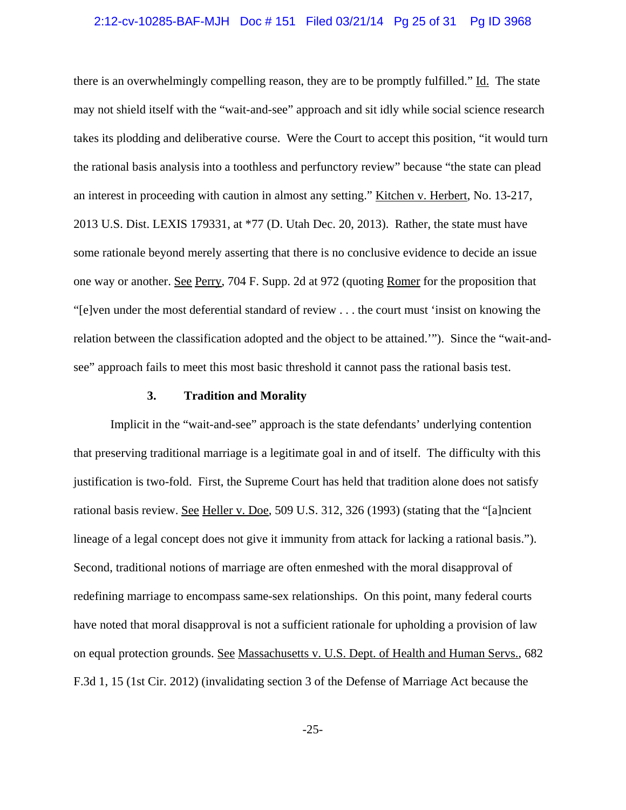## 2:12-cv-10285-BAF-MJH Doc # 151 Filed 03/21/14 Pg 25 of 31 Pg ID 3968

there is an overwhelmingly compelling reason, they are to be promptly fulfilled." Id. The state may not shield itself with the "wait-and-see" approach and sit idly while social science research takes its plodding and deliberative course. Were the Court to accept this position, "it would turn the rational basis analysis into a toothless and perfunctory review" because "the state can plead an interest in proceeding with caution in almost any setting." Kitchen v. Herbert, No. 13-217, 2013 U.S. Dist. LEXIS 179331, at \*77 (D. Utah Dec. 20, 2013). Rather, the state must have some rationale beyond merely asserting that there is no conclusive evidence to decide an issue one way or another. See Perry, 704 F. Supp. 2d at 972 (quoting Romer for the proposition that "[e]ven under the most deferential standard of review . . . the court must 'insist on knowing the relation between the classification adopted and the object to be attained.'"). Since the "wait-andsee" approach fails to meet this most basic threshold it cannot pass the rational basis test.

#### **3. Tradition and Morality**

Implicit in the "wait-and-see" approach is the state defendants' underlying contention that preserving traditional marriage is a legitimate goal in and of itself. The difficulty with this justification is two-fold. First, the Supreme Court has held that tradition alone does not satisfy rational basis review. See Heller v. Doe, 509 U.S. 312, 326 (1993) (stating that the "[a]ncient lineage of a legal concept does not give it immunity from attack for lacking a rational basis."). Second, traditional notions of marriage are often enmeshed with the moral disapproval of redefining marriage to encompass same-sex relationships. On this point, many federal courts have noted that moral disapproval is not a sufficient rationale for upholding a provision of law on equal protection grounds. See Massachusetts v. U.S. Dept. of Health and Human Servs., 682 F.3d 1, 15 (1st Cir. 2012) (invalidating section 3 of the Defense of Marriage Act because the

-25-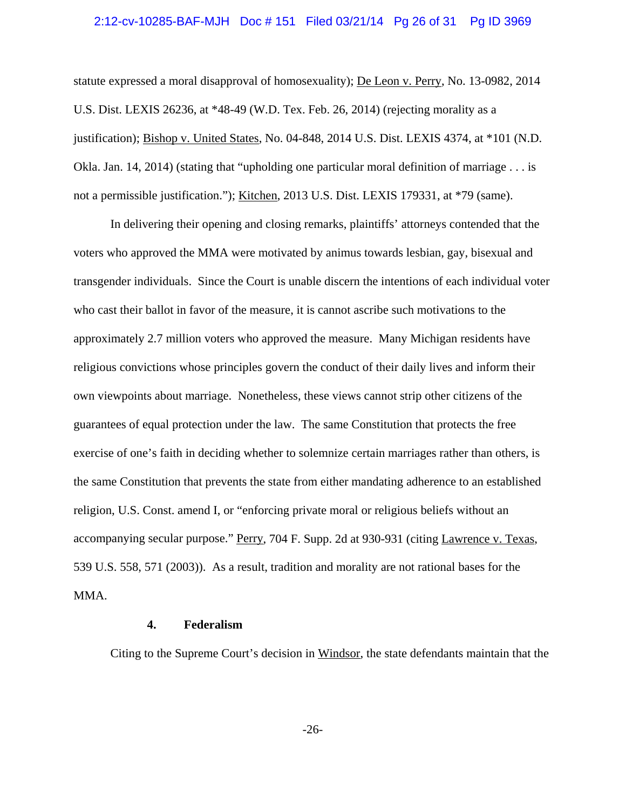#### 2:12-cv-10285-BAF-MJH Doc # 151 Filed 03/21/14 Pg 26 of 31 Pg ID 3969

statute expressed a moral disapproval of homosexuality); De Leon v. Perry, No. 13-0982, 2014 U.S. Dist. LEXIS 26236, at \*48-49 (W.D. Tex. Feb. 26, 2014) (rejecting morality as a justification); Bishop v. United States, No. 04-848, 2014 U.S. Dist. LEXIS 4374, at \*101 (N.D. Okla. Jan. 14, 2014) (stating that "upholding one particular moral definition of marriage . . . is not a permissible justification."); Kitchen, 2013 U.S. Dist. LEXIS 179331, at \*79 (same).

In delivering their opening and closing remarks, plaintiffs' attorneys contended that the voters who approved the MMA were motivated by animus towards lesbian, gay, bisexual and transgender individuals. Since the Court is unable discern the intentions of each individual voter who cast their ballot in favor of the measure, it is cannot ascribe such motivations to the approximately 2.7 million voters who approved the measure. Many Michigan residents have religious convictions whose principles govern the conduct of their daily lives and inform their own viewpoints about marriage. Nonetheless, these views cannot strip other citizens of the guarantees of equal protection under the law. The same Constitution that protects the free exercise of one's faith in deciding whether to solemnize certain marriages rather than others, is the same Constitution that prevents the state from either mandating adherence to an established religion, U.S. Const. amend I, or "enforcing private moral or religious beliefs without an accompanying secular purpose." Perry, 704 F. Supp. 2d at 930-931 (citing Lawrence v. Texas, 539 U.S. 558, 571 (2003)). As a result, tradition and morality are not rational bases for the MMA.

# **4. Federalism**

Citing to the Supreme Court's decision in Windsor, the state defendants maintain that the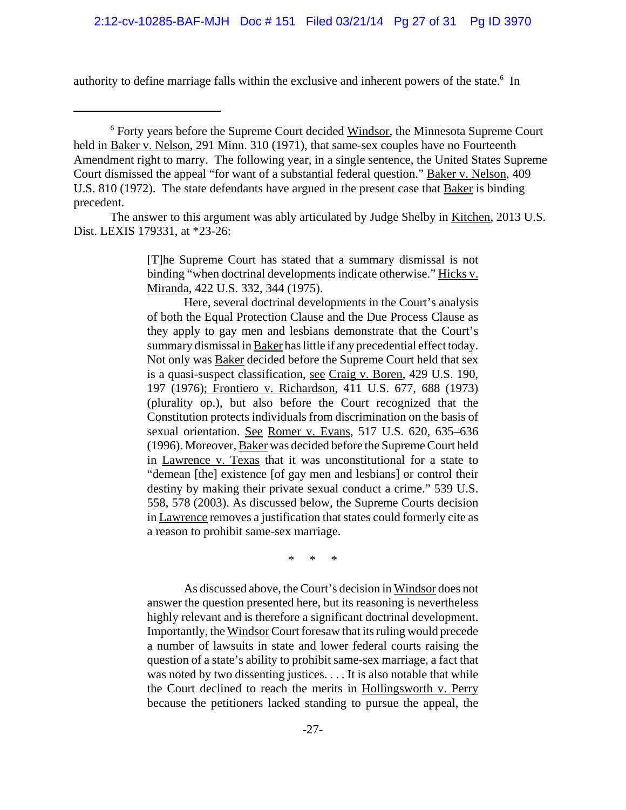authority to define marriage falls within the exclusive and inherent powers of the state.<sup>6</sup> In

The answer to this argument was ably articulated by Judge Shelby in Kitchen, 2013 U.S. Dist. LEXIS 179331, at \*23-26:

> [T]he Supreme Court has stated that a summary dismissal is not binding "when doctrinal developments indicate otherwise." Hicks v. Miranda, 422 U.S. 332, 344 (1975).

> Here, several doctrinal developments in the Court's analysis of both the Equal Protection Clause and the Due Process Clause as they apply to gay men and lesbians demonstrate that the Court's summary dismissal in Baker has little if any precedential effect today. Not only was Baker decided before the Supreme Court held that sex is a quasi-suspect classification, see Craig v. Boren, 429 U.S. 190, 197 (1976); Frontiero v. Richardson, 411 U.S. 677, 688 (1973) (plurality op.), but also before the Court recognized that the Constitution protects individuals from discrimination on the basis of sexual orientation. See Romer v. Evans, 517 U.S. 620, 635-636 (1996). Moreover, Baker was decided before the Supreme Court held in Lawrence v. Texas that it was unconstitutional for a state to "demean [the] existence [of gay men and lesbians] or control their destiny by making their private sexual conduct a crime." 539 U.S. 558, 578 (2003). As discussed below, the Supreme Courts decision in Lawrence removes a justification that states could formerly cite as a reason to prohibit same-sex marriage.

> > \* \* \*

As discussed above, the Court's decision in Windsor does not answer the question presented here, but its reasoning is nevertheless highly relevant and is therefore a significant doctrinal development. Importantly, the Windsor Court foresaw that its ruling would precede a number of lawsuits in state and lower federal courts raising the question of a state's ability to prohibit same-sex marriage, a fact that was noted by two dissenting justices. . . . It is also notable that while the Court declined to reach the merits in Hollingsworth v. Perry because the petitioners lacked standing to pursue the appeal, the

<sup>&</sup>lt;sup>6</sup> Forty years before the Supreme Court decided Windsor, the Minnesota Supreme Court held in Baker v. Nelson, 291 Minn. 310 (1971), that same-sex couples have no Fourteenth Amendment right to marry. The following year, in a single sentence, the United States Supreme Court dismissed the appeal "for want of a substantial federal question." Baker v. Nelson, 409 U.S. 810 (1972). The state defendants have argued in the present case that Baker is binding precedent.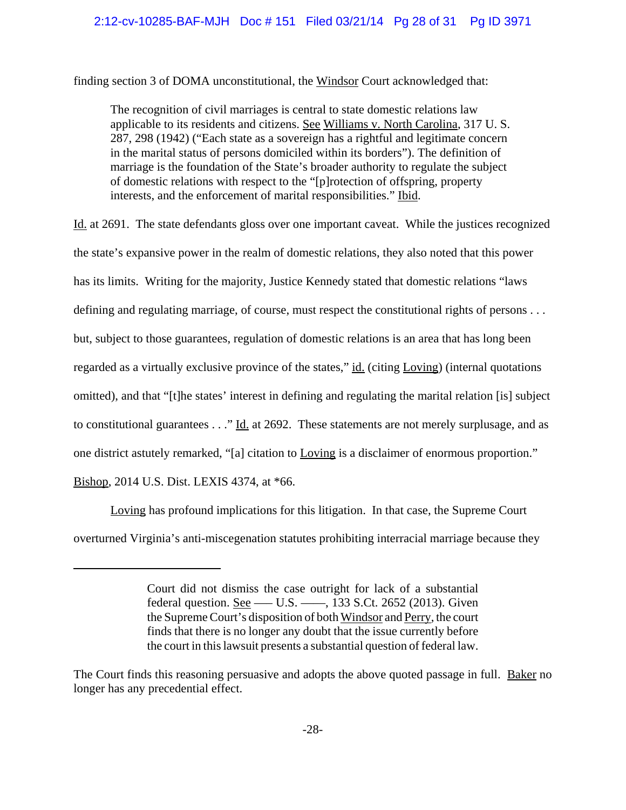finding section 3 of DOMA unconstitutional, the Windsor Court acknowledged that:

The recognition of civil marriages is central to state domestic relations law applicable to its residents and citizens. See Williams v. North Carolina, 317 U. S. 287, 298 (1942) ("Each state as a sovereign has a rightful and legitimate concern in the marital status of persons domiciled within its borders"). The definition of marriage is the foundation of the State's broader authority to regulate the subject of domestic relations with respect to the "[p]rotection of offspring, property interests, and the enforcement of marital responsibilities." Ibid.

Id. at 2691. The state defendants gloss over one important caveat. While the justices recognized the state's expansive power in the realm of domestic relations, they also noted that this power has its limits. Writing for the majority, Justice Kennedy stated that domestic relations "laws defining and regulating marriage, of course, must respect the constitutional rights of persons . . . but, subject to those guarantees, regulation of domestic relations is an area that has long been regarded as a virtually exclusive province of the states," id. (citing Loving) (internal quotations omitted), and that "[t]he states' interest in defining and regulating the marital relation [is] subject to constitutional guarantees . . ." Id. at 2692. These statements are not merely surplusage, and as one district astutely remarked, "[a] citation to Loving is a disclaimer of enormous proportion." Bishop, 2014 U.S. Dist. LEXIS 4374, at \*66.

Loving has profound implications for this litigation. In that case, the Supreme Court overturned Virginia's anti-miscegenation statutes prohibiting interracial marriage because they

Court did not dismiss the case outright for lack of a substantial federal question. <u>See</u> —– U.S. —–, 133 S.Ct. 2652 (2013). Given the Supreme Court's disposition of both Windsor and Perry, the court finds that there is no longer any doubt that the issue currently before the court in this lawsuit presents a substantial question of federal law.

The Court finds this reasoning persuasive and adopts the above quoted passage in full. Baker no longer has any precedential effect.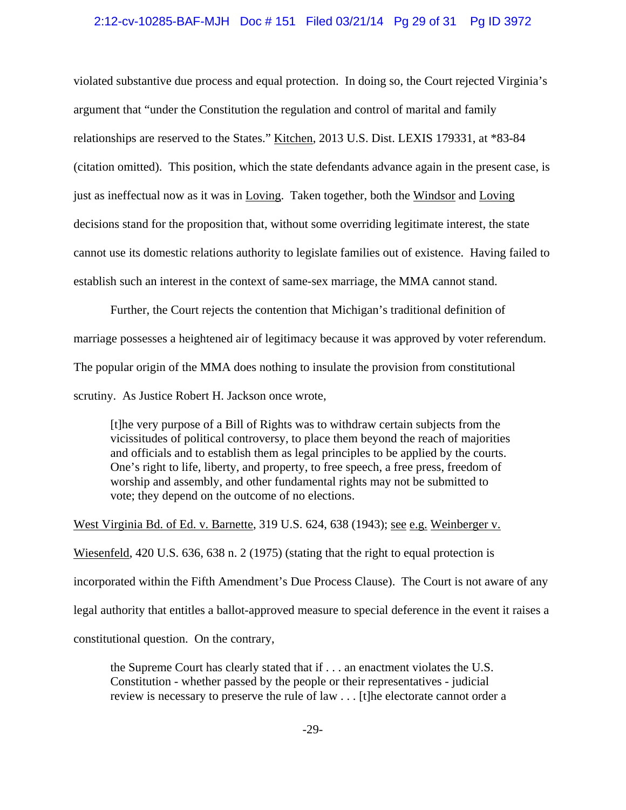## 2:12-cv-10285-BAF-MJH Doc # 151 Filed 03/21/14 Pg 29 of 31 Pg ID 3972

violated substantive due process and equal protection. In doing so, the Court rejected Virginia's argument that "under the Constitution the regulation and control of marital and family relationships are reserved to the States." Kitchen, 2013 U.S. Dist. LEXIS 179331, at \*83-84 (citation omitted). This position, which the state defendants advance again in the present case, is just as ineffectual now as it was in Loving. Taken together, both the Windsor and Loving decisions stand for the proposition that, without some overriding legitimate interest, the state cannot use its domestic relations authority to legislate families out of existence. Having failed to establish such an interest in the context of same-sex marriage, the MMA cannot stand.

Further, the Court rejects the contention that Michigan's traditional definition of marriage possesses a heightened air of legitimacy because it was approved by voter referendum. The popular origin of the MMA does nothing to insulate the provision from constitutional scrutiny. As Justice Robert H. Jackson once wrote,

[t]he very purpose of a Bill of Rights was to withdraw certain subjects from the vicissitudes of political controversy, to place them beyond the reach of majorities and officials and to establish them as legal principles to be applied by the courts. One's right to life, liberty, and property, to free speech, a free press, freedom of worship and assembly, and other fundamental rights may not be submitted to vote; they depend on the outcome of no elections.

West Virginia Bd. of Ed. v. Barnette, 319 U.S. 624, 638 (1943); see e.g. Weinberger v.

Wiesenfeld, 420 U.S. 636, 638 n. 2 (1975) (stating that the right to equal protection is

incorporated within the Fifth Amendment's Due Process Clause). The Court is not aware of any

legal authority that entitles a ballot-approved measure to special deference in the event it raises a

constitutional question. On the contrary,

the Supreme Court has clearly stated that if . . . an enactment violates the U.S. Constitution - whether passed by the people or their representatives - judicial review is necessary to preserve the rule of law . . . [t]he electorate cannot order a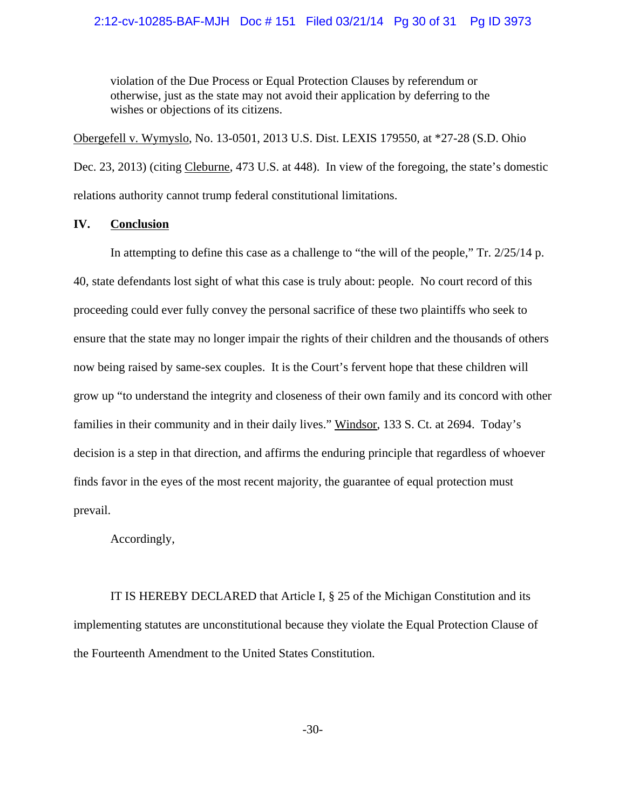## 2:12-cv-10285-BAF-MJH Doc # 151 Filed 03/21/14 Pg 30 of 31 Pg ID 3973

violation of the Due Process or Equal Protection Clauses by referendum or otherwise, just as the state may not avoid their application by deferring to the wishes or objections of its citizens.

Obergefell v. Wymyslo, No. 13-0501, 2013 U.S. Dist. LEXIS 179550, at \*27-28 (S.D. Ohio Dec. 23, 2013) (citing Cleburne, 473 U.S. at 448). In view of the foregoing, the state's domestic relations authority cannot trump federal constitutional limitations.

## **IV. Conclusion**

In attempting to define this case as a challenge to "the will of the people," Tr. 2/25/14 p. 40, state defendants lost sight of what this case is truly about: people. No court record of this proceeding could ever fully convey the personal sacrifice of these two plaintiffs who seek to ensure that the state may no longer impair the rights of their children and the thousands of others now being raised by same-sex couples. It is the Court's fervent hope that these children will grow up "to understand the integrity and closeness of their own family and its concord with other families in their community and in their daily lives." Windsor, 133 S. Ct. at 2694. Today's decision is a step in that direction, and affirms the enduring principle that regardless of whoever finds favor in the eyes of the most recent majority, the guarantee of equal protection must prevail.

Accordingly,

IT IS HEREBY DECLARED that Article I, § 25 of the Michigan Constitution and its implementing statutes are unconstitutional because they violate the Equal Protection Clause of the Fourteenth Amendment to the United States Constitution.

-30-